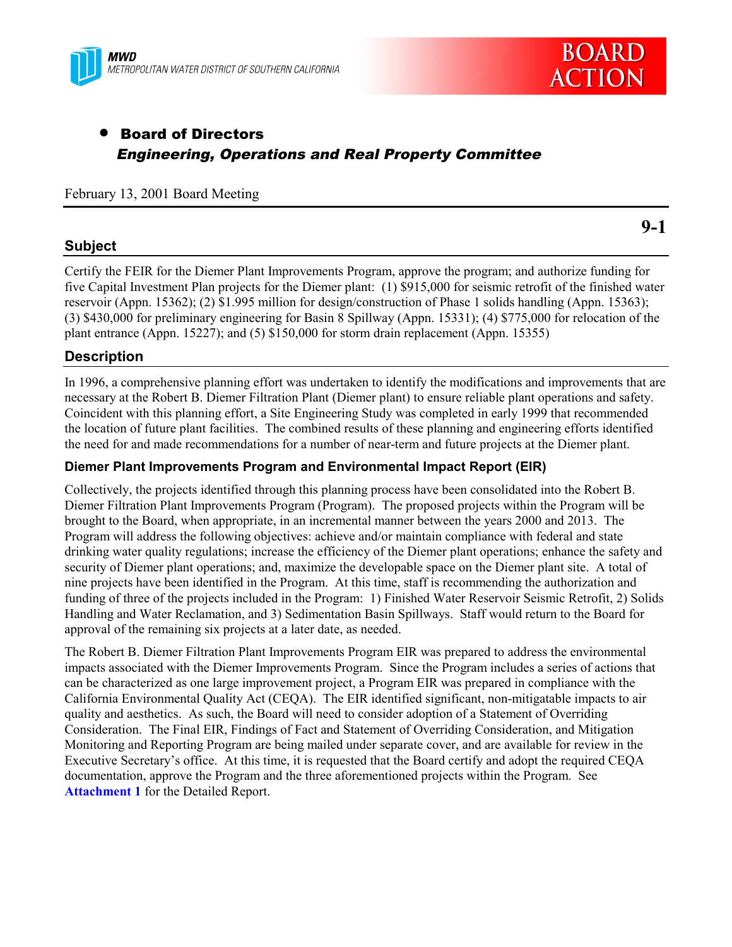



# • Board of Directors Engineering, Operations and Real Property Committee

#### February 13, 2001 Board Meeting

#### **Subject**

**9-1**

Certify the FEIR for the Diemer Plant Improvements Program, approve the program; and authorize funding for five Capital Investment Plan projects for the Diemer plant: (1) \$915,000 for seismic retrofit of the finished water reservoir (Appn. 15362); (2) \$1.995 million for design/construction of Phase 1 solids handling (Appn. 15363); (3) \$430,000 for preliminary engineering for Basin 8 Spillway (Appn. 15331); (4) \$775,000 for relocation of the plant entrance (Appn. 15227); and (5) \$150,000 for storm drain replacement (Appn. 15355)

#### **Description**

In 1996, a comprehensive planning effort was undertaken to identify the modifications and improvements that are necessary at the Robert B. Diemer Filtration Plant (Diemer plant) to ensure reliable plant operations and safety. Coincident with this planning effort, a Site Engineering Study was completed in early 1999 that recommended the location of future plant facilities. The combined results of these planning and engineering efforts identified the need for and made recommendations for a number of near-term and future projects at the Diemer plant.

#### **Diemer Plant Improvements Program and Environmental Impact Report (EIR)**

Collectively, the projects identified through this planning process have been consolidated into the Robert B. Diemer Filtration Plant Improvements Program (Program). The proposed projects within the Program will be brought to the Board, when appropriate, in an incremental manner between the years 2000 and 2013. The Program will address the following objectives: achieve and/or maintain compliance with federal and state drinking water quality regulations; increase the efficiency of the Diemer plant operations; enhance the safety and security of Diemer plant operations; and, maximize the developable space on the Diemer plant site. A total of nine projects have been identified in the Program. At this time, staff is recommending the authorization and funding of three of the projects included in the Program: 1) Finished Water Reservoir Seismic Retrofit, 2) Solids Handling and Water Reclamation, and 3) Sedimentation Basin Spillways. Staff would return to the Board for approval of the remaining six projects at a later date, as needed.

The Robert B. Diemer Filtration Plant Improvements Program EIR was prepared to address the environmental impacts associated with the Diemer Improvements Program. Since the Program includes a series of actions that can be characterized as one large improvement project, a Program EIR was prepared in compliance with the California Environmental Quality Act (CEQA). The EIR identified significant, non-mitigatable impacts to air quality and aesthetics. As such, the Board will need to consider adoption of a Statement of Overriding Consideration. The Final EIR, Findings of Fact and Statement of Overriding Consideration, and Mitigation Monitoring and Reporting Program are being mailed under separate cover, and are available for review in the Executive Secretary's office. At this time, it is requested that the Board certify and adopt the required CEQA documentation, approve the Program and the three aforementioned projects within the Program. See **Attachment 1** for the Detailed Report.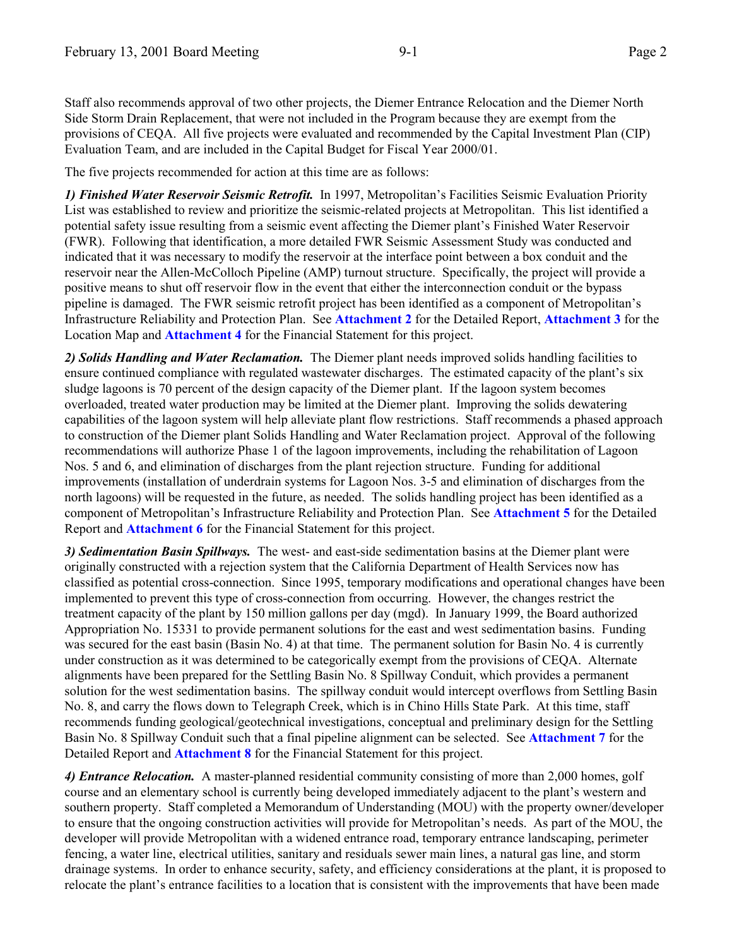Staff also recommends approval of two other projects, the Diemer Entrance Relocation and the Diemer North Side Storm Drain Replacement, that were not included in the Program because they are exempt from the provisions of CEQA. All five projects were evaluated and recommended by the Capital Investment Plan (CIP) Evaluation Team, and are included in the Capital Budget for Fiscal Year 2000/01.

The five projects recommended for action at this time are as follows:

*1) Finished Water Reservoir Seismic Retrofit.* In 1997, Metropolitan's Facilities Seismic Evaluation Priority List was established to review and prioritize the seismic-related projects at Metropolitan. This list identified a potential safety issue resulting from a seismic event affecting the Diemer plant's Finished Water Reservoir (FWR). Following that identification, a more detailed FWR Seismic Assessment Study was conducted and indicated that it was necessary to modify the reservoir at the interface point between a box conduit and the reservoir near the Allen-McColloch Pipeline (AMP) turnout structure. Specifically, the project will provide a positive means to shut off reservoir flow in the event that either the interconnection conduit or the bypass pipeline is damaged. The FWR seismic retrofit project has been identified as a component of Metropolitan's Infrastructure Reliability and Protection Plan. See **Attachment 2** for the Detailed Report, **Attachment 3** for the Location Map and **Attachment 4** for the Financial Statement for this project.

*2) Solids Handling and Water Reclamation.* The Diemer plant needs improved solids handling facilities to ensure continued compliance with regulated wastewater discharges. The estimated capacity of the plant's six sludge lagoons is 70 percent of the design capacity of the Diemer plant. If the lagoon system becomes overloaded, treated water production may be limited at the Diemer plant. Improving the solids dewatering capabilities of the lagoon system will help alleviate plant flow restrictions. Staff recommends a phased approach to construction of the Diemer plant Solids Handling and Water Reclamation project. Approval of the following recommendations will authorize Phase 1 of the lagoon improvements, including the rehabilitation of Lagoon Nos. 5 and 6, and elimination of discharges from the plant rejection structure. Funding for additional improvements (installation of underdrain systems for Lagoon Nos. 3-5 and elimination of discharges from the north lagoons) will be requested in the future, as needed. The solids handling project has been identified as a component of Metropolitan's Infrastructure Reliability and Protection Plan. See **Attachment 5** for the Detailed Report and **Attachment 6** for the Financial Statement for this project.

*3) Sedimentation Basin Spillways.* The west- and east-side sedimentation basins at the Diemer plant were originally constructed with a rejection system that the California Department of Health Services now has classified as potential cross-connection. Since 1995, temporary modifications and operational changes have been implemented to prevent this type of cross-connection from occurring. However, the changes restrict the treatment capacity of the plant by 150 million gallons per day (mgd). In January 1999, the Board authorized Appropriation No. 15331 to provide permanent solutions for the east and west sedimentation basins. Funding was secured for the east basin (Basin No. 4) at that time. The permanent solution for Basin No. 4 is currently under construction as it was determined to be categorically exempt from the provisions of CEQA. Alternate alignments have been prepared for the Settling Basin No. 8 Spillway Conduit, which provides a permanent solution for the west sedimentation basins. The spillway conduit would intercept overflows from Settling Basin No. 8, and carry the flows down to Telegraph Creek, which is in Chino Hills State Park. At this time, staff recommends funding geological/geotechnical investigations, conceptual and preliminary design for the Settling Basin No. 8 Spillway Conduit such that a final pipeline alignment can be selected. See **Attachment 7** for the Detailed Report and **Attachment 8** for the Financial Statement for this project.

*4) Entrance Relocation.* A master-planned residential community consisting of more than 2,000 homes, golf course and an elementary school is currently being developed immediately adjacent to the plant's western and southern property. Staff completed a Memorandum of Understanding (MOU) with the property owner/developer to ensure that the ongoing construction activities will provide for Metropolitan's needs. As part of the MOU, the developer will provide Metropolitan with a widened entrance road, temporary entrance landscaping, perimeter fencing, a water line, electrical utilities, sanitary and residuals sewer main lines, a natural gas line, and storm drainage systems. In order to enhance security, safety, and efficiency considerations at the plant, it is proposed to relocate the plant's entrance facilities to a location that is consistent with the improvements that have been made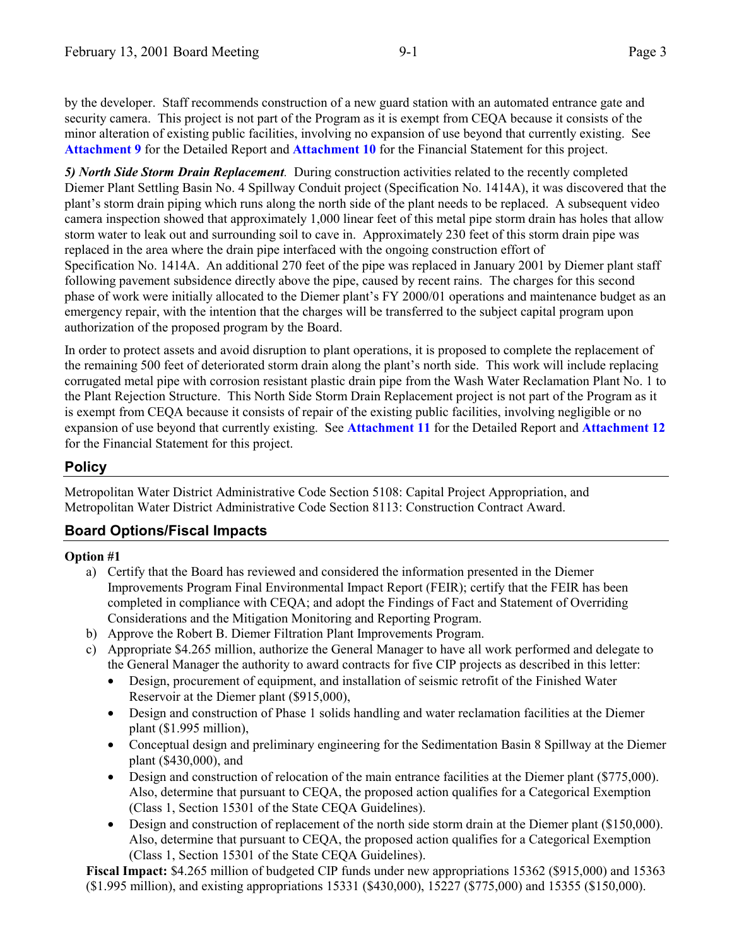by the developer. Staff recommends construction of a new guard station with an automated entrance gate and security camera. This project is not part of the Program as it is exempt from CEQA because it consists of the minor alteration of existing public facilities, involving no expansion of use beyond that currently existing. See **Attachment 9** for the Detailed Report and **Attachment 10** for the Financial Statement for this project.

*5) North Side Storm Drain Replacement.* During construction activities related to the recently completed Diemer Plant Settling Basin No. 4 Spillway Conduit project (Specification No. 1414A), it was discovered that the plant's storm drain piping which runs along the north side of the plant needs to be replaced. A subsequent video camera inspection showed that approximately 1,000 linear feet of this metal pipe storm drain has holes that allow storm water to leak out and surrounding soil to cave in. Approximately 230 feet of this storm drain pipe was replaced in the area where the drain pipe interfaced with the ongoing construction effort of Specification No. 1414A. An additional 270 feet of the pipe was replaced in January 2001 by Diemer plant staff following pavement subsidence directly above the pipe, caused by recent rains. The charges for this second phase of work were initially allocated to the Diemer plant's FY 2000/01 operations and maintenance budget as an emergency repair, with the intention that the charges will be transferred to the subject capital program upon authorization of the proposed program by the Board.

In order to protect assets and avoid disruption to plant operations, it is proposed to complete the replacement of the remaining 500 feet of deteriorated storm drain along the plant's north side. This work will include replacing corrugated metal pipe with corrosion resistant plastic drain pipe from the Wash Water Reclamation Plant No. 1 to the Plant Rejection Structure. This North Side Storm Drain Replacement project is not part of the Program as it is exempt from CEQA because it consists of repair of the existing public facilities, involving negligible or no expansion of use beyond that currently existing. See **Attachment 11** for the Detailed Report and **Attachment 12** for the Financial Statement for this project.

## **Policy**

Metropolitan Water District Administrative Code Section 5108: Capital Project Appropriation, and Metropolitan Water District Administrative Code Section 8113: Construction Contract Award.

## **Board Options/Fiscal Impacts**

#### **Option #1**

- a) Certify that the Board has reviewed and considered the information presented in the Diemer Improvements Program Final Environmental Impact Report (FEIR); certify that the FEIR has been completed in compliance with CEQA; and adopt the Findings of Fact and Statement of Overriding Considerations and the Mitigation Monitoring and Reporting Program.
- b) Approve the Robert B. Diemer Filtration Plant Improvements Program.
- c) Appropriate \$4.265 million, authorize the General Manager to have all work performed and delegate to the General Manager the authority to award contracts for five CIP projects as described in this letter:
	- Design, procurement of equipment, and installation of seismic retrofit of the Finished Water Reservoir at the Diemer plant (\$915,000),
	- Design and construction of Phase 1 solids handling and water reclamation facilities at the Diemer plant (\$1.995 million),
	- Conceptual design and preliminary engineering for the Sedimentation Basin 8 Spillway at the Diemer plant (\$430,000), and
	- Design and construction of relocation of the main entrance facilities at the Diemer plant (\$775,000). Also, determine that pursuant to CEQA, the proposed action qualifies for a Categorical Exemption (Class 1, Section 15301 of the State CEQA Guidelines).
	- Design and construction of replacement of the north side storm drain at the Diemer plant (\$150,000). Also, determine that pursuant to CEQA, the proposed action qualifies for a Categorical Exemption (Class 1, Section 15301 of the State CEQA Guidelines).

**Fiscal Impact:** \$4.265 million of budgeted CIP funds under new appropriations 15362 (\$915,000) and 15363 (\$1.995 million), and existing appropriations 15331 (\$430,000), 15227 (\$775,000) and 15355 (\$150,000).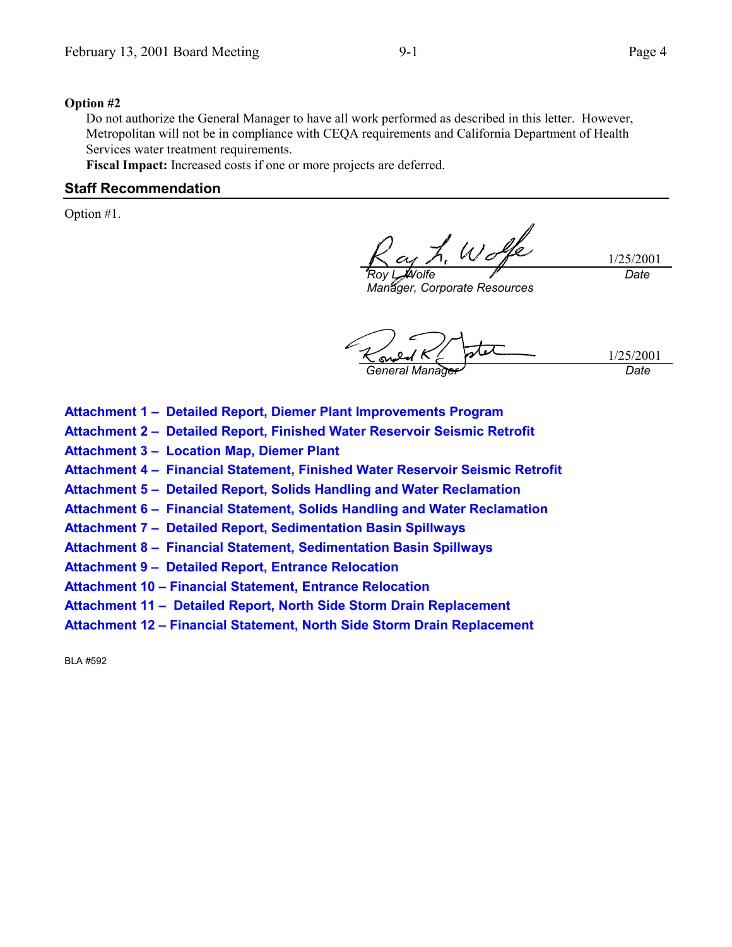#### **Option #2**

Do not authorize the General Manager to have all work performed as described in this letter. However, Metropolitan will not be in compliance with CEQA requirements and California Department of Health Services water treatment requirements.

**Fiscal Impact:** Increased costs if one or more projects are deferred.

#### **Staff Recommendation**

Option #1.

*Roy L. Wolfe*

1/25/2001 *Date*

*Manager, Corporate Resources*

1/25/2001 *General Manager Date*

- **Attachment 1 Detailed Report, Diemer Plant Improvements Program**
- **Attachment 2 Detailed Report, Finished Water Reservoir Seismic Retrofit**
- **Attachment 3 Location Map, Diemer Plant**
- **Attachment 4 Financial Statement, Finished Water Reservoir Seismic Retrofit**
- **Attachment 5 Detailed Report, Solids Handling and Water Reclamation**
- **Attachment 6 Financial Statement, Solids Handling and Water Reclamation**
- **Attachment 7 Detailed Report, Sedimentation Basin Spillways**
- **Attachment 8 Financial Statement, Sedimentation Basin Spillways**
- **Attachment 9 Detailed Report, Entrance Relocation**
- **Attachment 10 Financial Statement, Entrance Relocation**
- **Attachment 11 Detailed Report, North Side Storm Drain Replacement**
- **Attachment 12 Financial Statement, North Side Storm Drain Replacement**

BLA #592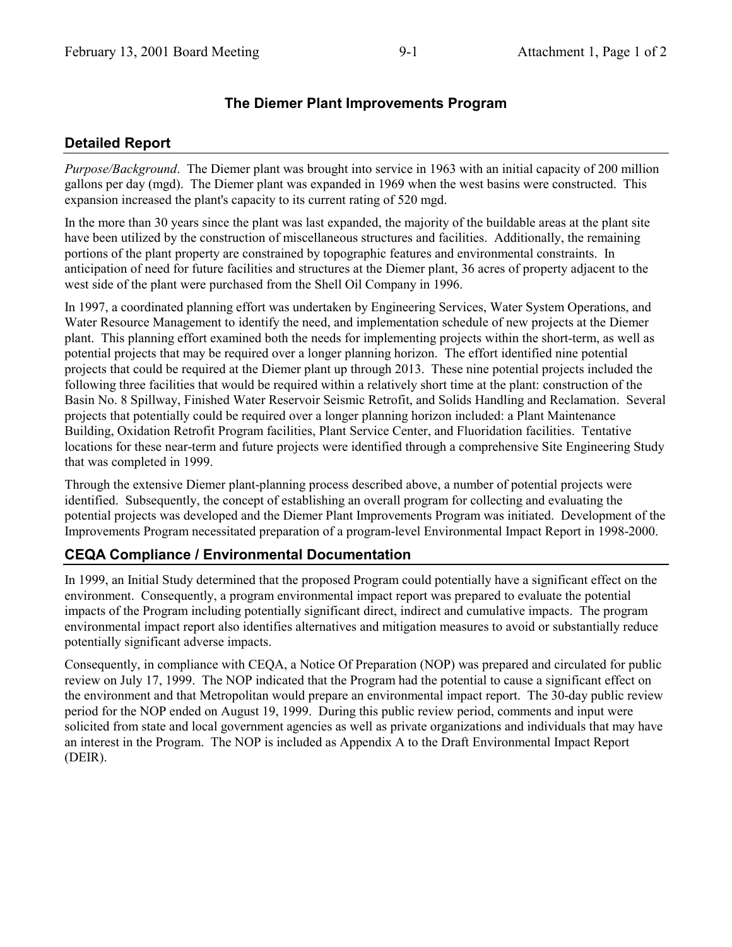## **Detailed Report**

*Purpose/Background*. The Diemer plant was brought into service in 1963 with an initial capacity of 200 million gallons per day (mgd). The Diemer plant was expanded in 1969 when the west basins were constructed. This expansion increased the plant's capacity to its current rating of 520 mgd.

In the more than 30 years since the plant was last expanded, the majority of the buildable areas at the plant site have been utilized by the construction of miscellaneous structures and facilities. Additionally, the remaining portions of the plant property are constrained by topographic features and environmental constraints. In anticipation of need for future facilities and structures at the Diemer plant, 36 acres of property adjacent to the west side of the plant were purchased from the Shell Oil Company in 1996.

In 1997, a coordinated planning effort was undertaken by Engineering Services, Water System Operations, and Water Resource Management to identify the need, and implementation schedule of new projects at the Diemer plant. This planning effort examined both the needs for implementing projects within the short-term, as well as potential projects that may be required over a longer planning horizon. The effort identified nine potential projects that could be required at the Diemer plant up through 2013. These nine potential projects included the following three facilities that would be required within a relatively short time at the plant: construction of the Basin No. 8 Spillway, Finished Water Reservoir Seismic Retrofit, and Solids Handling and Reclamation. Several projects that potentially could be required over a longer planning horizon included: a Plant Maintenance Building, Oxidation Retrofit Program facilities, Plant Service Center, and Fluoridation facilities. Tentative locations for these near-term and future projects were identified through a comprehensive Site Engineering Study that was completed in 1999.

Through the extensive Diemer plant-planning process described above, a number of potential projects were identified. Subsequently, the concept of establishing an overall program for collecting and evaluating the potential projects was developed and the Diemer Plant Improvements Program was initiated. Development of the Improvements Program necessitated preparation of a program-level Environmental Impact Report in 1998-2000.

## **CEQA Compliance / Environmental Documentation**

In 1999, an Initial Study determined that the proposed Program could potentially have a significant effect on the environment. Consequently, a program environmental impact report was prepared to evaluate the potential impacts of the Program including potentially significant direct, indirect and cumulative impacts. The program environmental impact report also identifies alternatives and mitigation measures to avoid or substantially reduce potentially significant adverse impacts.

Consequently, in compliance with CEQA, a Notice Of Preparation (NOP) was prepared and circulated for public review on July 17, 1999. The NOP indicated that the Program had the potential to cause a significant effect on the environment and that Metropolitan would prepare an environmental impact report. The 30-day public review period for the NOP ended on August 19, 1999. During this public review period, comments and input were solicited from state and local government agencies as well as private organizations and individuals that may have an interest in the Program. The NOP is included as Appendix A to the Draft Environmental Impact Report (DEIR).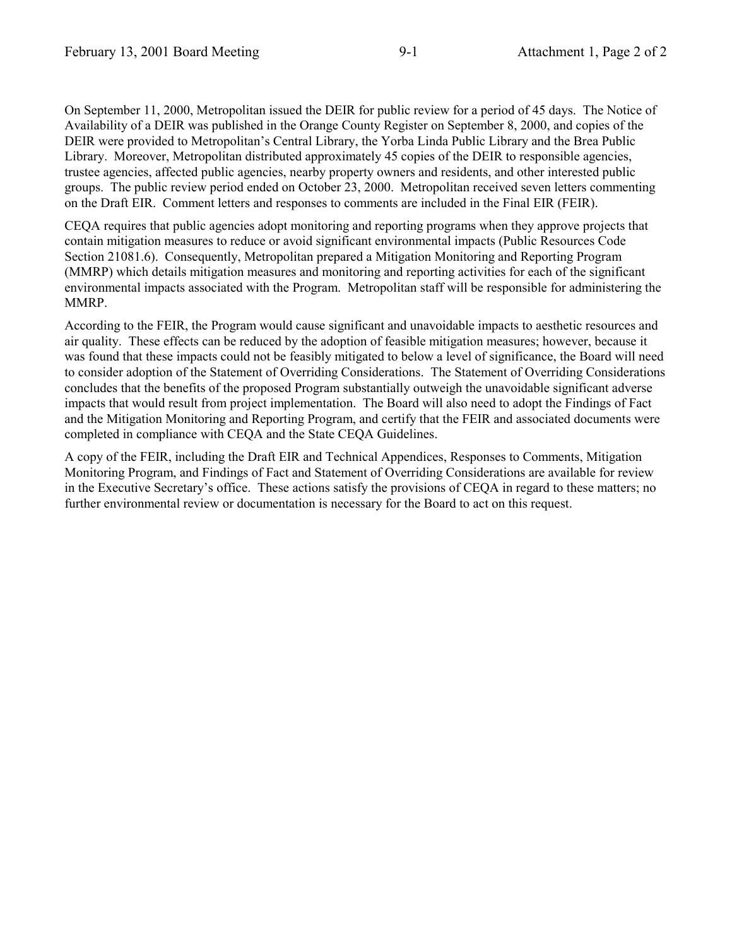On September 11, 2000, Metropolitan issued the DEIR for public review for a period of 45 days. The Notice of Availability of a DEIR was published in the Orange County Register on September 8, 2000, and copies of the DEIR were provided to Metropolitan's Central Library, the Yorba Linda Public Library and the Brea Public Library. Moreover, Metropolitan distributed approximately 45 copies of the DEIR to responsible agencies, trustee agencies, affected public agencies, nearby property owners and residents, and other interested public groups. The public review period ended on October 23, 2000. Metropolitan received seven letters commenting on the Draft EIR. Comment letters and responses to comments are included in the Final EIR (FEIR).

CEQA requires that public agencies adopt monitoring and reporting programs when they approve projects that contain mitigation measures to reduce or avoid significant environmental impacts (Public Resources Code Section 21081.6). Consequently, Metropolitan prepared a Mitigation Monitoring and Reporting Program (MMRP) which details mitigation measures and monitoring and reporting activities for each of the significant environmental impacts associated with the Program. Metropolitan staff will be responsible for administering the MMRP.

According to the FEIR, the Program would cause significant and unavoidable impacts to aesthetic resources and air quality. These effects can be reduced by the adoption of feasible mitigation measures; however, because it was found that these impacts could not be feasibly mitigated to below a level of significance, the Board will need to consider adoption of the Statement of Overriding Considerations. The Statement of Overriding Considerations concludes that the benefits of the proposed Program substantially outweigh the unavoidable significant adverse impacts that would result from project implementation. The Board will also need to adopt the Findings of Fact and the Mitigation Monitoring and Reporting Program, and certify that the FEIR and associated documents were completed in compliance with CEQA and the State CEQA Guidelines.

A copy of the FEIR, including the Draft EIR and Technical Appendices, Responses to Comments, Mitigation Monitoring Program, and Findings of Fact and Statement of Overriding Considerations are available for review in the Executive Secretary's office. These actions satisfy the provisions of CEQA in regard to these matters; no further environmental review or documentation is necessary for the Board to act on this request.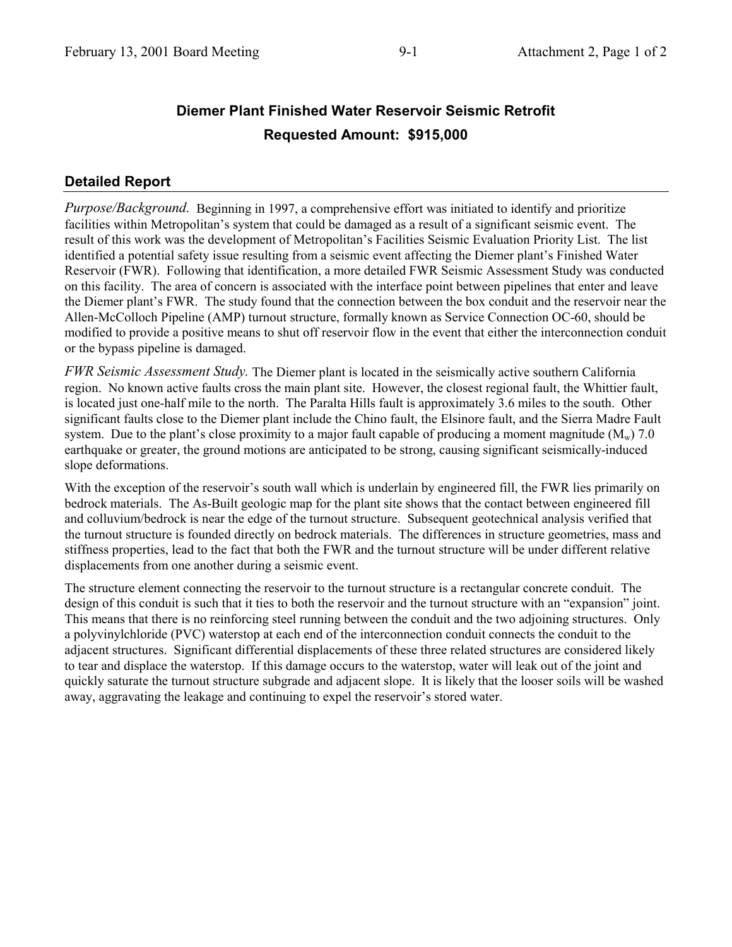# **Diemer Plant Finished Water Reservoir Seismic Retrofit Requested Amount: \$915,000**

## **Detailed Report**

*Purpose/Background.* Beginning in 1997, a comprehensive effort was initiated to identify and prioritize facilities within Metropolitan's system that could be damaged as a result of a significant seismic event. The result of this work was the development of Metropolitan's Facilities Seismic Evaluation Priority List. The list identified a potential safety issue resulting from a seismic event affecting the Diemer plant's Finished Water Reservoir (FWR). Following that identification, a more detailed FWR Seismic Assessment Study was conducted on this facility. The area of concern is associated with the interface point between pipelines that enter and leave the Diemer plant's FWR. The study found that the connection between the box conduit and the reservoir near the Allen-McColloch Pipeline (AMP) turnout structure, formally known as Service Connection OC-60, should be modified to provide a positive means to shut off reservoir flow in the event that either the interconnection conduit or the bypass pipeline is damaged.

*FWR Seismic Assessment Study.* The Diemer plant is located in the seismically active southern California region. No known active faults cross the main plant site. However, the closest regional fault, the Whittier fault, is located just one-half mile to the north. The Paralta Hills fault is approximately 3.6 miles to the south. Other significant faults close to the Diemer plant include the Chino fault, the Elsinore fault, and the Sierra Madre Fault system. Due to the plant's close proximity to a major fault capable of producing a moment magnitude ( $M_w$ ) 7.0 earthquake or greater, the ground motions are anticipated to be strong, causing significant seismically-induced slope deformations.

With the exception of the reservoir's south wall which is underlain by engineered fill, the FWR lies primarily on bedrock materials. The As-Built geologic map for the plant site shows that the contact between engineered fill and colluvium/bedrock is near the edge of the turnout structure. Subsequent geotechnical analysis verified that the turnout structure is founded directly on bedrock materials. The differences in structure geometries, mass and stiffness properties, lead to the fact that both the FWR and the turnout structure will be under different relative displacements from one another during a seismic event.

The structure element connecting the reservoir to the turnout structure is a rectangular concrete conduit. The design of this conduit is such that it ties to both the reservoir and the turnout structure with an "expansion" joint. This means that there is no reinforcing steel running between the conduit and the two adjoining structures. Only a polyvinylchloride (PVC) waterstop at each end of the interconnection conduit connects the conduit to the adjacent structures. Significant differential displacements of these three related structures are considered likely to tear and displace the waterstop. If this damage occurs to the waterstop, water will leak out of the joint and quickly saturate the turnout structure subgrade and adjacent slope. It is likely that the looser soils will be washed away, aggravating the leakage and continuing to expel the reservoir's stored water.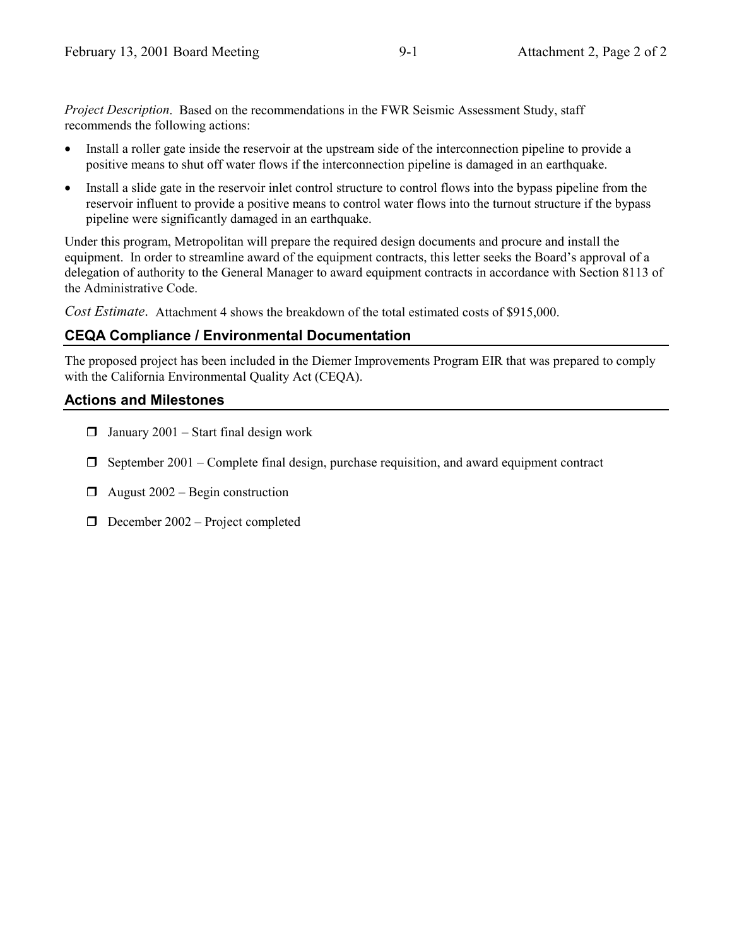*Project Description*. Based on the recommendations in the FWR Seismic Assessment Study, staff recommends the following actions:

- Install a roller gate inside the reservoir at the upstream side of the interconnection pipeline to provide a positive means to shut off water flows if the interconnection pipeline is damaged in an earthquake.
- Install a slide gate in the reservoir inlet control structure to control flows into the bypass pipeline from the reservoir influent to provide a positive means to control water flows into the turnout structure if the bypass pipeline were significantly damaged in an earthquake.

Under this program, Metropolitan will prepare the required design documents and procure and install the equipment. In order to streamline award of the equipment contracts, this letter seeks the Board's approval of a delegation of authority to the General Manager to award equipment contracts in accordance with Section 8113 of the Administrative Code.

*Cost Estimate*. Attachment 4 shows the breakdown of the total estimated costs of \$915,000.

## **CEQA Compliance / Environmental Documentation**

The proposed project has been included in the Diemer Improvements Program EIR that was prepared to comply with the California Environmental Quality Act (CEQA).

## **Actions and Milestones**

- $\Box$  January 2001 Start final design work
- $\Box$  September 2001 Complete final design, purchase requisition, and award equipment contract
- $\Box$  August 2002 Begin construction
- $\Box$  December 2002 Project completed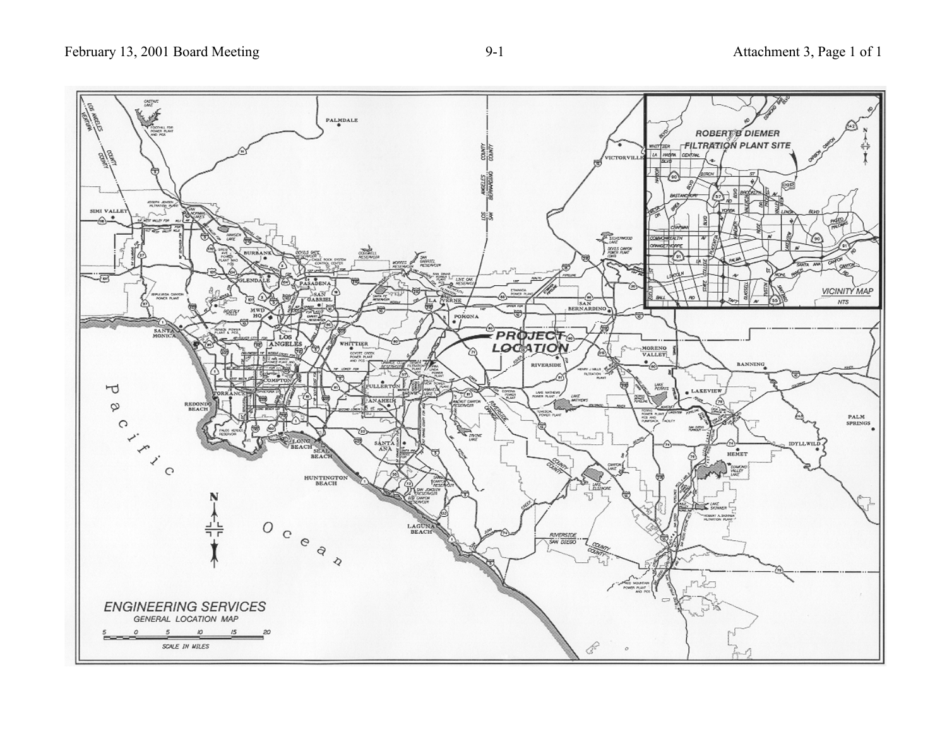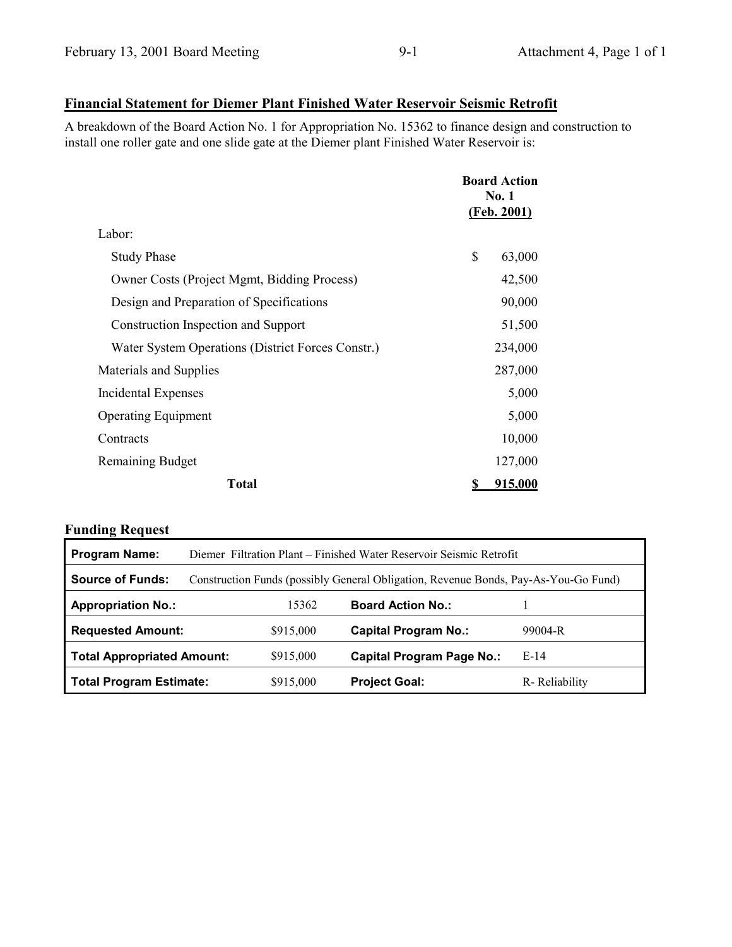## **Financial Statement for Diemer Plant Finished Water Reservoir Seismic Retrofit**

A breakdown of the Board Action No. 1 for Appropriation No. 15362 to finance design and construction to install one roller gate and one slide gate at the Diemer plant Finished Water Reservoir is:

|                                                    | <b>Board Action</b><br><b>No. 1</b><br>(Feb. 2001) |         |
|----------------------------------------------------|----------------------------------------------------|---------|
| Labor:                                             |                                                    |         |
| <b>Study Phase</b>                                 | \$                                                 | 63,000  |
| <b>Owner Costs (Project Mgmt, Bidding Process)</b> |                                                    | 42,500  |
| Design and Preparation of Specifications           |                                                    | 90,000  |
| Construction Inspection and Support                |                                                    | 51,500  |
| Water System Operations (District Forces Constr.)  |                                                    | 234,000 |
| Materials and Supplies                             |                                                    | 287,000 |
| Incidental Expenses                                |                                                    | 5,000   |
| <b>Operating Equipment</b>                         |                                                    | 5,000   |
| Contracts                                          |                                                    | 10,000  |
| <b>Remaining Budget</b>                            |                                                    | 127,000 |
| <b>Total</b>                                       | \$                                                 | 915,000 |

| <b>Program Name:</b>              | Diemer Filtration Plant – Finished Water Reservoir Seismic Retrofit                 |           |                                  |               |  |
|-----------------------------------|-------------------------------------------------------------------------------------|-----------|----------------------------------|---------------|--|
| <b>Source of Funds:</b>           | Construction Funds (possibly General Obligation, Revenue Bonds, Pay-As-You-Go Fund) |           |                                  |               |  |
| <b>Appropriation No.:</b>         |                                                                                     | 15362     | <b>Board Action No.:</b>         |               |  |
| <b>Requested Amount:</b>          |                                                                                     | \$915,000 | <b>Capital Program No.:</b>      | 99004-R       |  |
| <b>Total Appropriated Amount:</b> |                                                                                     | \$915,000 | <b>Capital Program Page No.:</b> | $E-14$        |  |
| <b>Total Program Estimate:</b>    |                                                                                     | \$915,000 | <b>Project Goal:</b>             | R-Reliability |  |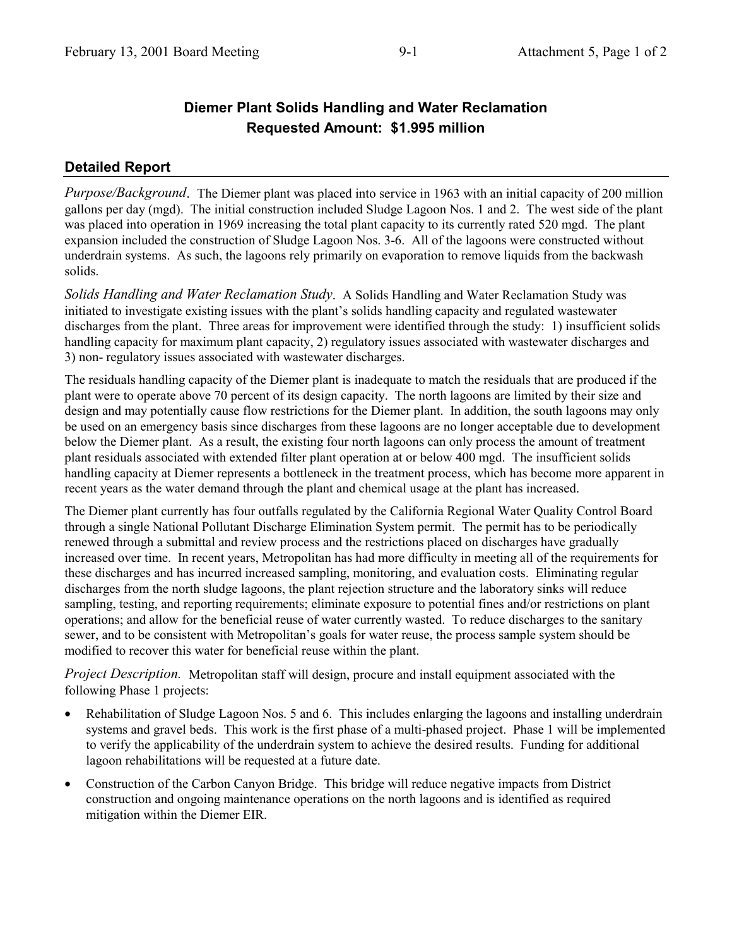# **Diemer Plant Solids Handling and Water Reclamation Requested Amount: \$1.995 million**

## **Detailed Report**

*Purpose/Background*. The Diemer plant was placed into service in 1963 with an initial capacity of 200 million gallons per day (mgd). The initial construction included Sludge Lagoon Nos. 1 and 2. The west side of the plant was placed into operation in 1969 increasing the total plant capacity to its currently rated 520 mgd. The plant expansion included the construction of Sludge Lagoon Nos. 3-6. All of the lagoons were constructed without underdrain systems. As such, the lagoons rely primarily on evaporation to remove liquids from the backwash solids.

*Solids Handling and Water Reclamation Study*. A Solids Handling and Water Reclamation Study was initiated to investigate existing issues with the plant's solids handling capacity and regulated wastewater discharges from the plant. Three areas for improvement were identified through the study: 1) insufficient solids handling capacity for maximum plant capacity, 2) regulatory issues associated with wastewater discharges and 3) non- regulatory issues associated with wastewater discharges.

The residuals handling capacity of the Diemer plant is inadequate to match the residuals that are produced if the plant were to operate above 70 percent of its design capacity. The north lagoons are limited by their size and design and may potentially cause flow restrictions for the Diemer plant. In addition, the south lagoons may only be used on an emergency basis since discharges from these lagoons are no longer acceptable due to development below the Diemer plant. As a result, the existing four north lagoons can only process the amount of treatment plant residuals associated with extended filter plant operation at or below 400 mgd. The insufficient solids handling capacity at Diemer represents a bottleneck in the treatment process, which has become more apparent in recent years as the water demand through the plant and chemical usage at the plant has increased.

The Diemer plant currently has four outfalls regulated by the California Regional Water Quality Control Board through a single National Pollutant Discharge Elimination System permit. The permit has to be periodically renewed through a submittal and review process and the restrictions placed on discharges have gradually increased over time. In recent years, Metropolitan has had more difficulty in meeting all of the requirements for these discharges and has incurred increased sampling, monitoring, and evaluation costs. Eliminating regular discharges from the north sludge lagoons, the plant rejection structure and the laboratory sinks will reduce sampling, testing, and reporting requirements; eliminate exposure to potential fines and/or restrictions on plant operations; and allow for the beneficial reuse of water currently wasted. To reduce discharges to the sanitary sewer, and to be consistent with Metropolitan's goals for water reuse, the process sample system should be modified to recover this water for beneficial reuse within the plant.

*Project Description.* Metropolitan staff will design, procure and install equipment associated with the following Phase 1 projects:

- Rehabilitation of Sludge Lagoon Nos. 5 and 6. This includes enlarging the lagoons and installing underdrain systems and gravel beds. This work is the first phase of a multi-phased project. Phase 1 will be implemented to verify the applicability of the underdrain system to achieve the desired results. Funding for additional lagoon rehabilitations will be requested at a future date.
- Construction of the Carbon Canyon Bridge. This bridge will reduce negative impacts from District construction and ongoing maintenance operations on the north lagoons and is identified as required mitigation within the Diemer EIR.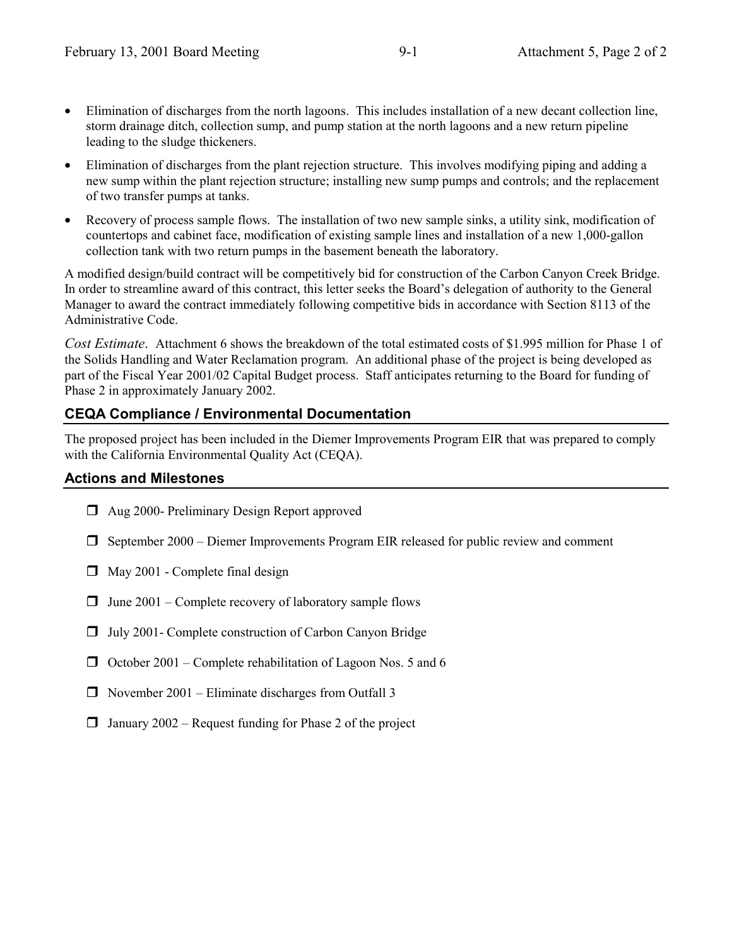- Elimination of discharges from the north lagoons. This includes installation of a new decant collection line, storm drainage ditch, collection sump, and pump station at the north lagoons and a new return pipeline leading to the sludge thickeners.
- Elimination of discharges from the plant rejection structure. This involves modifying piping and adding a new sump within the plant rejection structure; installing new sump pumps and controls; and the replacement of two transfer pumps at tanks.
- Recovery of process sample flows. The installation of two new sample sinks, a utility sink, modification of countertops and cabinet face, modification of existing sample lines and installation of a new 1,000-gallon collection tank with two return pumps in the basement beneath the laboratory.

A modified design/build contract will be competitively bid for construction of the Carbon Canyon Creek Bridge. In order to streamline award of this contract, this letter seeks the Board's delegation of authority to the General Manager to award the contract immediately following competitive bids in accordance with Section 8113 of the Administrative Code.

*Cost Estimate*. Attachment 6 shows the breakdown of the total estimated costs of \$1.995 million for Phase 1 of the Solids Handling and Water Reclamation program. An additional phase of the project is being developed as part of the Fiscal Year 2001/02 Capital Budget process. Staff anticipates returning to the Board for funding of Phase 2 in approximately January 2002.

## **CEQA Compliance / Environmental Documentation**

The proposed project has been included in the Diemer Improvements Program EIR that was prepared to comply with the California Environmental Quality Act (CEQA).

#### **Actions and Milestones**

- $\Box$  Aug 2000- Preliminary Design Report approved
- $\Box$  September 2000 Diemer Improvements Program EIR released for public review and comment
- $\Box$  May 2001 Complete final design
- $\Box$  June 2001 Complete recovery of laboratory sample flows
- $\Box$  July 2001- Complete construction of Carbon Canyon Bridge
- $\Box$  October 2001 Complete rehabilitation of Lagoon Nos. 5 and 6
- $\Box$  November 2001 Eliminate discharges from Outfall 3
- $\Box$  January 2002 Request funding for Phase 2 of the project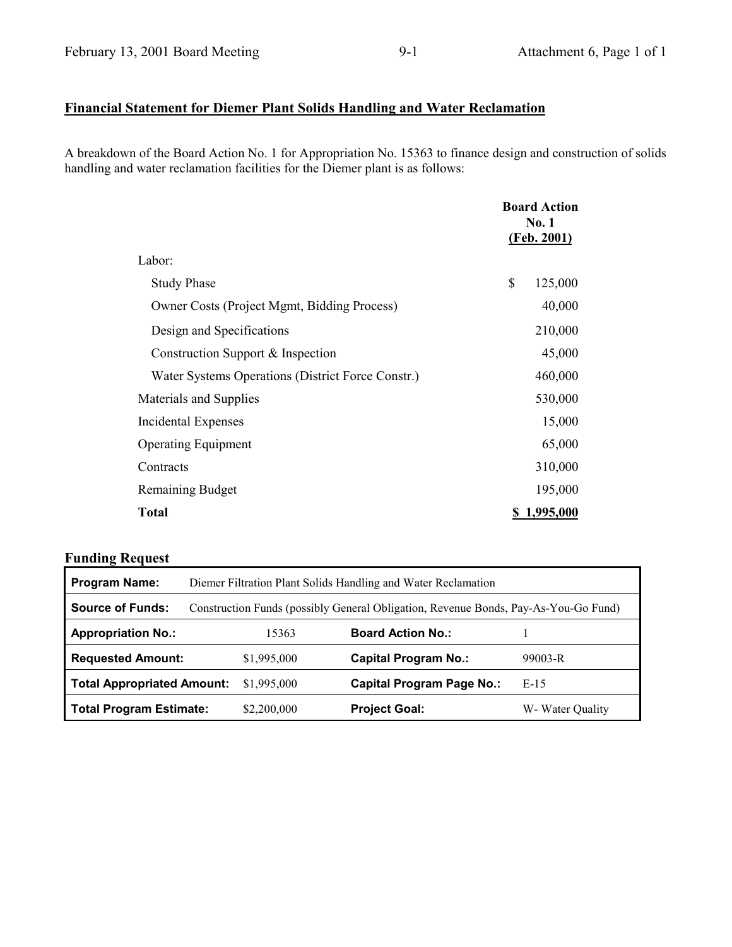# **Financial Statement for Diemer Plant Solids Handling and Water Reclamation**

A breakdown of the Board Action No. 1 for Appropriation No. 15363 to finance design and construction of solids handling and water reclamation facilities for the Diemer plant is as follows:

|                                                    | <b>Board Action</b><br>No. 1<br>(Feb. 2001) |           |
|----------------------------------------------------|---------------------------------------------|-----------|
| Labor:                                             |                                             |           |
| <b>Study Phase</b>                                 | \$                                          | 125,000   |
| <b>Owner Costs (Project Mgmt, Bidding Process)</b> |                                             | 40,000    |
| Design and Specifications                          |                                             | 210,000   |
| Construction Support & Inspection                  |                                             | 45,000    |
| Water Systems Operations (District Force Constr.)  |                                             | 460,000   |
| Materials and Supplies                             |                                             | 530,000   |
| Incidental Expenses                                |                                             | 15,000    |
| <b>Operating Equipment</b>                         |                                             | 65,000    |
| Contracts                                          |                                             | 310,000   |
| <b>Remaining Budget</b>                            |                                             | 195,000   |
| <b>Total</b>                                       |                                             | 1,995,000 |

| <b>Program Name:</b>              | Diemer Filtration Plant Solids Handling and Water Reclamation                       |             |                                  |                  |
|-----------------------------------|-------------------------------------------------------------------------------------|-------------|----------------------------------|------------------|
| <b>Source of Funds:</b>           | Construction Funds (possibly General Obligation, Revenue Bonds, Pay-As-You-Go Fund) |             |                                  |                  |
| <b>Appropriation No.:</b>         |                                                                                     | 15363       | <b>Board Action No.:</b>         |                  |
| <b>Requested Amount:</b>          |                                                                                     | \$1,995,000 | <b>Capital Program No.:</b>      | $99003 - R$      |
| <b>Total Appropriated Amount:</b> |                                                                                     | \$1,995,000 | <b>Capital Program Page No.:</b> | $E-15$           |
| <b>Total Program Estimate:</b>    |                                                                                     | \$2,200,000 | <b>Project Goal:</b>             | W- Water Quality |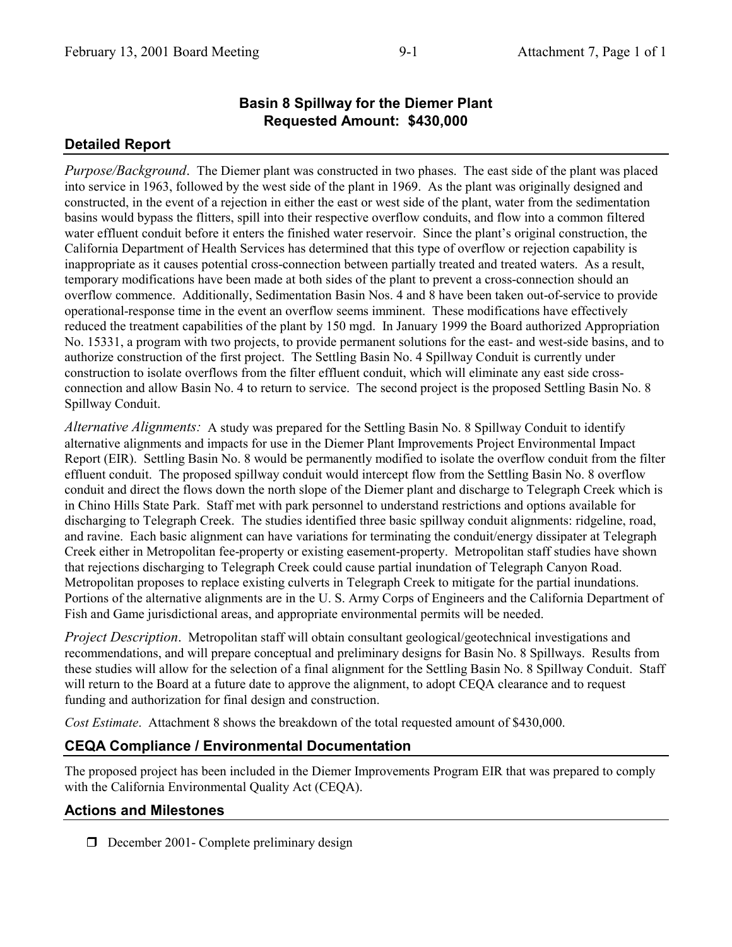## **Basin 8 Spillway for the Diemer Plant Requested Amount: \$430,000**

#### **Detailed Report**

*Purpose/Background*. The Diemer plant was constructed in two phases. The east side of the plant was placed into service in 1963, followed by the west side of the plant in 1969. As the plant was originally designed and constructed, in the event of a rejection in either the east or west side of the plant, water from the sedimentation basins would bypass the flitters, spill into their respective overflow conduits, and flow into a common filtered water effluent conduit before it enters the finished water reservoir. Since the plant's original construction, the California Department of Health Services has determined that this type of overflow or rejection capability is inappropriate as it causes potential cross-connection between partially treated and treated waters. As a result, temporary modifications have been made at both sides of the plant to prevent a cross-connection should an overflow commence. Additionally, Sedimentation Basin Nos. 4 and 8 have been taken out-of-service to provide operational-response time in the event an overflow seems imminent. These modifications have effectively reduced the treatment capabilities of the plant by 150 mgd. In January 1999 the Board authorized Appropriation No. 15331, a program with two projects, to provide permanent solutions for the east- and west-side basins, and to authorize construction of the first project. The Settling Basin No. 4 Spillway Conduit is currently under construction to isolate overflows from the filter effluent conduit, which will eliminate any east side crossconnection and allow Basin No. 4 to return to service. The second project is the proposed Settling Basin No. 8 Spillway Conduit.

*Alternative Alignments:* A study was prepared for the Settling Basin No. 8 Spillway Conduit to identify alternative alignments and impacts for use in the Diemer Plant Improvements Project Environmental Impact Report (EIR). Settling Basin No. 8 would be permanently modified to isolate the overflow conduit from the filter effluent conduit. The proposed spillway conduit would intercept flow from the Settling Basin No. 8 overflow conduit and direct the flows down the north slope of the Diemer plant and discharge to Telegraph Creek which is in Chino Hills State Park. Staff met with park personnel to understand restrictions and options available for discharging to Telegraph Creek. The studies identified three basic spillway conduit alignments: ridgeline, road, and ravine. Each basic alignment can have variations for terminating the conduit/energy dissipater at Telegraph Creek either in Metropolitan fee-property or existing easement-property. Metropolitan staff studies have shown that rejections discharging to Telegraph Creek could cause partial inundation of Telegraph Canyon Road. Metropolitan proposes to replace existing culverts in Telegraph Creek to mitigate for the partial inundations. Portions of the alternative alignments are in the U. S. Army Corps of Engineers and the California Department of Fish and Game jurisdictional areas, and appropriate environmental permits will be needed.

*Project Description*. Metropolitan staff will obtain consultant geological/geotechnical investigations and recommendations, and will prepare conceptual and preliminary designs for Basin No. 8 Spillways. Results from these studies will allow for the selection of a final alignment for the Settling Basin No. 8 Spillway Conduit. Staff will return to the Board at a future date to approve the alignment, to adopt CEQA clearance and to request funding and authorization for final design and construction.

*Cost Estimate*. Attachment 8 shows the breakdown of the total requested amount of \$430,000.

#### **CEQA Compliance / Environmental Documentation**

The proposed project has been included in the Diemer Improvements Program EIR that was prepared to comply with the California Environmental Quality Act (CEQA).

#### **Actions and Milestones**

 $\Box$  December 2001- Complete preliminary design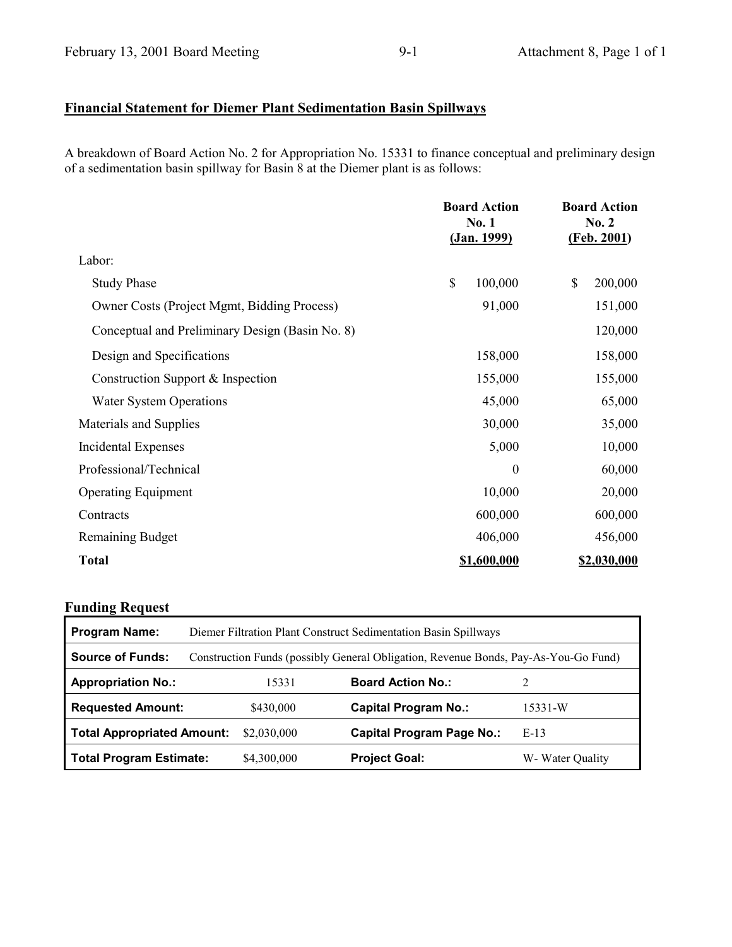## **Financial Statement for Diemer Plant Sedimentation Basin Spillways**

A breakdown of Board Action No. 2 for Appropriation No. 15331 to finance conceptual and preliminary design of a sedimentation basin spillway for Basin 8 at the Diemer plant is as follows:

|                                                 | <b>Board Action</b><br>No. 1<br><u>(Jan. 1999)</u> | <b>Board Action</b><br>No. 2<br>(Feb. 2001) |
|-------------------------------------------------|----------------------------------------------------|---------------------------------------------|
| Labor:                                          |                                                    |                                             |
| <b>Study Phase</b>                              | \$<br>100,000                                      | \$<br>200,000                               |
| Owner Costs (Project Mgmt, Bidding Process)     | 91,000                                             | 151,000                                     |
| Conceptual and Preliminary Design (Basin No. 8) |                                                    | 120,000                                     |
| Design and Specifications                       | 158,000                                            | 158,000                                     |
| Construction Support & Inspection               | 155,000                                            | 155,000                                     |
| <b>Water System Operations</b>                  | 45,000                                             | 65,000                                      |
| Materials and Supplies                          | 30,000                                             | 35,000                                      |
| <b>Incidental Expenses</b>                      | 5,000                                              | 10,000                                      |
| Professional/Technical                          | $\boldsymbol{0}$                                   | 60,000                                      |
| <b>Operating Equipment</b>                      | 10,000                                             | 20,000                                      |
| Contracts                                       | 600,000                                            | 600,000                                     |
| <b>Remaining Budget</b>                         | 406,000                                            | 456,000                                     |
| <b>Total</b>                                    | \$1,600,000                                        | \$2,030,000                                 |

| <b>Program Name:</b>              | Diemer Filtration Plant Construct Sedimentation Basin Spillways                     |                                  |                  |  |  |
|-----------------------------------|-------------------------------------------------------------------------------------|----------------------------------|------------------|--|--|
| <b>Source of Funds:</b>           | Construction Funds (possibly General Obligation, Revenue Bonds, Pay-As-You-Go Fund) |                                  |                  |  |  |
| <b>Appropriation No.:</b>         | 15331                                                                               | <b>Board Action No.:</b>         |                  |  |  |
| <b>Requested Amount:</b>          | \$430,000                                                                           | <b>Capital Program No.:</b>      | 15331-W          |  |  |
| <b>Total Appropriated Amount:</b> | \$2,030,000                                                                         | <b>Capital Program Page No.:</b> | $E-13$           |  |  |
| <b>Total Program Estimate:</b>    | \$4,300,000                                                                         | <b>Project Goal:</b>             | W- Water Quality |  |  |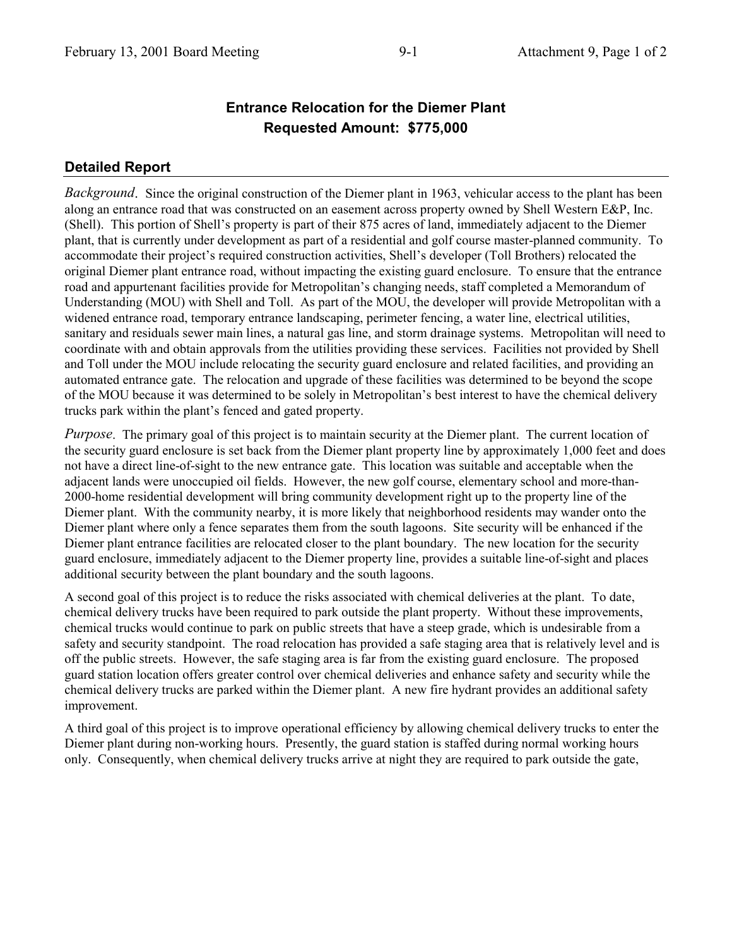## **Entrance Relocation for the Diemer Plant Requested Amount: \$775,000**

## **Detailed Report**

*Background*. Since the original construction of the Diemer plant in 1963, vehicular access to the plant has been along an entrance road that was constructed on an easement across property owned by Shell Western E&P, Inc. (Shell). This portion of Shell's property is part of their 875 acres of land, immediately adjacent to the Diemer plant, that is currently under development as part of a residential and golf course master-planned community. To accommodate their project's required construction activities, Shell's developer (Toll Brothers) relocated the original Diemer plant entrance road, without impacting the existing guard enclosure. To ensure that the entrance road and appurtenant facilities provide for Metropolitan's changing needs, staff completed a Memorandum of Understanding (MOU) with Shell and Toll. As part of the MOU, the developer will provide Metropolitan with a widened entrance road, temporary entrance landscaping, perimeter fencing, a water line, electrical utilities, sanitary and residuals sewer main lines, a natural gas line, and storm drainage systems. Metropolitan will need to coordinate with and obtain approvals from the utilities providing these services. Facilities not provided by Shell and Toll under the MOU include relocating the security guard enclosure and related facilities, and providing an automated entrance gate. The relocation and upgrade of these facilities was determined to be beyond the scope of the MOU because it was determined to be solely in Metropolitan's best interest to have the chemical delivery trucks park within the plant's fenced and gated property.

*Purpose*. The primary goal of this project is to maintain security at the Diemer plant. The current location of the security guard enclosure is set back from the Diemer plant property line by approximately 1,000 feet and does not have a direct line-of-sight to the new entrance gate. This location was suitable and acceptable when the adjacent lands were unoccupied oil fields. However, the new golf course, elementary school and more-than-2000-home residential development will bring community development right up to the property line of the Diemer plant. With the community nearby, it is more likely that neighborhood residents may wander onto the Diemer plant where only a fence separates them from the south lagoons. Site security will be enhanced if the Diemer plant entrance facilities are relocated closer to the plant boundary. The new location for the security guard enclosure, immediately adjacent to the Diemer property line, provides a suitable line-of-sight and places additional security between the plant boundary and the south lagoons.

A second goal of this project is to reduce the risks associated with chemical deliveries at the plant. To date, chemical delivery trucks have been required to park outside the plant property. Without these improvements, chemical trucks would continue to park on public streets that have a steep grade, which is undesirable from a safety and security standpoint. The road relocation has provided a safe staging area that is relatively level and is off the public streets. However, the safe staging area is far from the existing guard enclosure. The proposed guard station location offers greater control over chemical deliveries and enhance safety and security while the chemical delivery trucks are parked within the Diemer plant. A new fire hydrant provides an additional safety improvement.

A third goal of this project is to improve operational efficiency by allowing chemical delivery trucks to enter the Diemer plant during non-working hours. Presently, the guard station is staffed during normal working hours only. Consequently, when chemical delivery trucks arrive at night they are required to park outside the gate,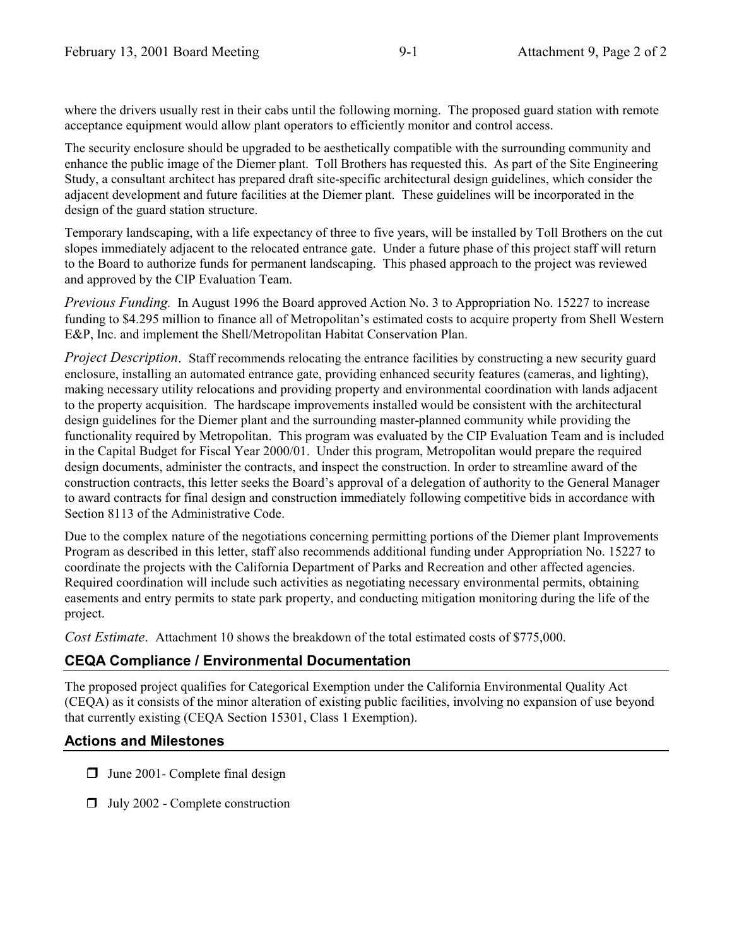where the drivers usually rest in their cabs until the following morning. The proposed guard station with remote acceptance equipment would allow plant operators to efficiently monitor and control access.

The security enclosure should be upgraded to be aesthetically compatible with the surrounding community and enhance the public image of the Diemer plant. Toll Brothers has requested this. As part of the Site Engineering Study, a consultant architect has prepared draft site-specific architectural design guidelines, which consider the adjacent development and future facilities at the Diemer plant. These guidelines will be incorporated in the design of the guard station structure.

Temporary landscaping, with a life expectancy of three to five years, will be installed by Toll Brothers on the cut slopes immediately adjacent to the relocated entrance gate. Under a future phase of this project staff will return to the Board to authorize funds for permanent landscaping. This phased approach to the project was reviewed and approved by the CIP Evaluation Team.

*Previous Funding.* In August 1996 the Board approved Action No. 3 to Appropriation No. 15227 to increase funding to \$4.295 million to finance all of Metropolitan's estimated costs to acquire property from Shell Western E&P, Inc. and implement the Shell/Metropolitan Habitat Conservation Plan.

*Project Description*. Staff recommends relocating the entrance facilities by constructing a new security guard enclosure, installing an automated entrance gate, providing enhanced security features (cameras, and lighting), making necessary utility relocations and providing property and environmental coordination with lands adjacent to the property acquisition. The hardscape improvements installed would be consistent with the architectural design guidelines for the Diemer plant and the surrounding master-planned community while providing the functionality required by Metropolitan. This program was evaluated by the CIP Evaluation Team and is included in the Capital Budget for Fiscal Year 2000/01. Under this program, Metropolitan would prepare the required design documents, administer the contracts, and inspect the construction. In order to streamline award of the construction contracts, this letter seeks the Board's approval of a delegation of authority to the General Manager to award contracts for final design and construction immediately following competitive bids in accordance with Section 8113 of the Administrative Code.

Due to the complex nature of the negotiations concerning permitting portions of the Diemer plant Improvements Program as described in this letter, staff also recommends additional funding under Appropriation No. 15227 to coordinate the projects with the California Department of Parks and Recreation and other affected agencies. Required coordination will include such activities as negotiating necessary environmental permits, obtaining easements and entry permits to state park property, and conducting mitigation monitoring during the life of the project.

*Cost Estimate*. Attachment 10 shows the breakdown of the total estimated costs of \$775,000.

## **CEQA Compliance / Environmental Documentation**

The proposed project qualifies for Categorical Exemption under the California Environmental Quality Act (CEQA) as it consists of the minor alteration of existing public facilities, involving no expansion of use beyond that currently existing (CEQA Section 15301, Class 1 Exemption).

## **Actions and Milestones**

- $\Box$  June 2001 Complete final design
- $\Box$  July 2002 Complete construction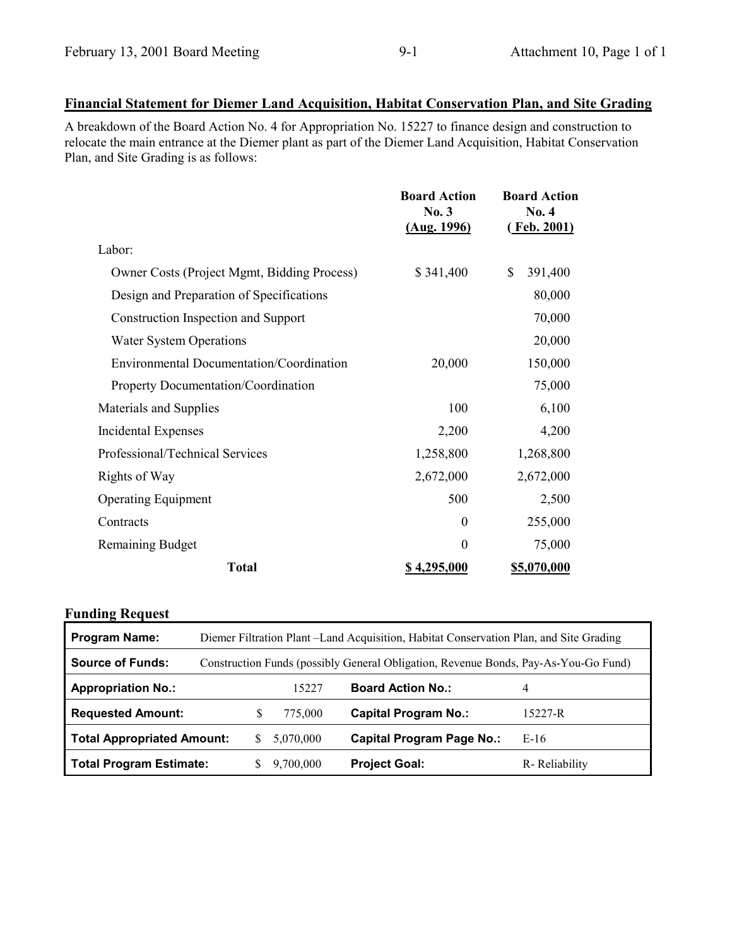## **Financial Statement for Diemer Land Acquisition, Habitat Conservation Plan, and Site Grading**

A breakdown of the Board Action No. 4 for Appropriation No. 15227 to finance design and construction to relocate the main entrance at the Diemer plant as part of the Diemer Land Acquisition, Habitat Conservation Plan, and Site Grading is as follows:

|                                                    | <b>Board Action</b><br>No.3<br>(Aug. 1996) | <b>Board Action</b><br>No. 4<br><u>(Feb. 2001)</u> |
|----------------------------------------------------|--------------------------------------------|----------------------------------------------------|
| Labor:                                             |                                            |                                                    |
| <b>Owner Costs (Project Mgmt, Bidding Process)</b> | \$341,400                                  | \$<br>391,400                                      |
| Design and Preparation of Specifications           |                                            | 80,000                                             |
| Construction Inspection and Support                |                                            | 70,000                                             |
| <b>Water System Operations</b>                     |                                            | 20,000                                             |
| Environmental Documentation/Coordination           | 20,000                                     | 150,000                                            |
| <b>Property Documentation/Coordination</b>         |                                            | 75,000                                             |
| Materials and Supplies                             | 100                                        | 6,100                                              |
| Incidental Expenses                                | 2,200                                      | 4,200                                              |
| Professional/Technical Services                    | 1,258,800                                  | 1,268,800                                          |
| Rights of Way                                      | 2,672,000                                  | 2,672,000                                          |
| <b>Operating Equipment</b>                         | 500                                        | 2,500                                              |
| Contracts                                          | $\theta$                                   | 255,000                                            |
| <b>Remaining Budget</b>                            | $\overline{0}$                             | 75,000                                             |
| <b>Total</b>                                       | \$4,295,000                                | \$5,070,000                                        |

| <b>Program Name:</b>              | Diemer Filtration Plant - Land Acquisition, Habitat Conservation Plan, and Site Grading |           |                                  |               |
|-----------------------------------|-----------------------------------------------------------------------------------------|-----------|----------------------------------|---------------|
| <b>Source of Funds:</b>           | Construction Funds (possibly General Obligation, Revenue Bonds, Pay-As-You-Go Fund)     |           |                                  |               |
| <b>Appropriation No.:</b>         |                                                                                         | 15227     | <b>Board Action No.:</b>         | 4             |
| <b>Requested Amount:</b>          |                                                                                         | 775,000   | <b>Capital Program No.:</b>      | 15227-R       |
| <b>Total Appropriated Amount:</b> | S.                                                                                      | 5,070,000 | <b>Capital Program Page No.:</b> | $E-16$        |
| <b>Total Program Estimate:</b>    |                                                                                         | 9,700,000 | <b>Project Goal:</b>             | R-Reliability |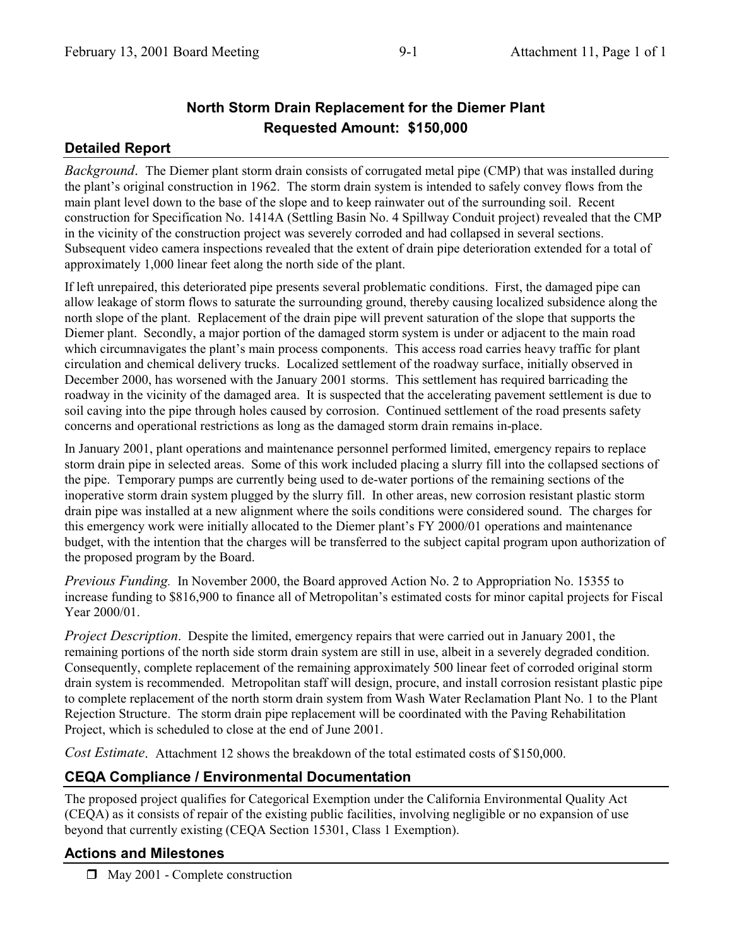# **North Storm Drain Replacement for the Diemer Plant Requested Amount: \$150,000**

#### **Detailed Report**

*Background*. The Diemer plant storm drain consists of corrugated metal pipe (CMP) that was installed during the plant's original construction in 1962. The storm drain system is intended to safely convey flows from the main plant level down to the base of the slope and to keep rainwater out of the surrounding soil. Recent construction for Specification No. 1414A (Settling Basin No. 4 Spillway Conduit project) revealed that the CMP in the vicinity of the construction project was severely corroded and had collapsed in several sections. Subsequent video camera inspections revealed that the extent of drain pipe deterioration extended for a total of approximately 1,000 linear feet along the north side of the plant.

If left unrepaired, this deteriorated pipe presents several problematic conditions. First, the damaged pipe can allow leakage of storm flows to saturate the surrounding ground, thereby causing localized subsidence along the north slope of the plant. Replacement of the drain pipe will prevent saturation of the slope that supports the Diemer plant. Secondly, a major portion of the damaged storm system is under or adjacent to the main road which circumnavigates the plant's main process components. This access road carries heavy traffic for plant circulation and chemical delivery trucks. Localized settlement of the roadway surface, initially observed in December 2000, has worsened with the January 2001 storms. This settlement has required barricading the roadway in the vicinity of the damaged area. It is suspected that the accelerating pavement settlement is due to soil caving into the pipe through holes caused by corrosion. Continued settlement of the road presents safety concerns and operational restrictions as long as the damaged storm drain remains in-place.

In January 2001, plant operations and maintenance personnel performed limited, emergency repairs to replace storm drain pipe in selected areas. Some of this work included placing a slurry fill into the collapsed sections of the pipe. Temporary pumps are currently being used to de-water portions of the remaining sections of the inoperative storm drain system plugged by the slurry fill. In other areas, new corrosion resistant plastic storm drain pipe was installed at a new alignment where the soils conditions were considered sound. The charges for this emergency work were initially allocated to the Diemer plant's FY 2000/01 operations and maintenance budget, with the intention that the charges will be transferred to the subject capital program upon authorization of the proposed program by the Board.

*Previous Funding.* In November 2000, the Board approved Action No. 2 to Appropriation No. 15355 to increase funding to \$816,900 to finance all of Metropolitan's estimated costs for minor capital projects for Fiscal Year 2000/01.

*Project Description*. Despite the limited, emergency repairs that were carried out in January 2001, the remaining portions of the north side storm drain system are still in use, albeit in a severely degraded condition. Consequently, complete replacement of the remaining approximately 500 linear feet of corroded original storm drain system is recommended. Metropolitan staff will design, procure, and install corrosion resistant plastic pipe to complete replacement of the north storm drain system from Wash Water Reclamation Plant No. 1 to the Plant Rejection Structure. The storm drain pipe replacement will be coordinated with the Paving Rehabilitation Project, which is scheduled to close at the end of June 2001.

*Cost Estimate*. Attachment 12 shows the breakdown of the total estimated costs of \$150,000.

#### **CEQA Compliance / Environmental Documentation**

The proposed project qualifies for Categorical Exemption under the California Environmental Quality Act (CEQA) as it consists of repair of the existing public facilities, involving negligible or no expansion of use beyond that currently existing (CEQA Section 15301, Class 1 Exemption).

#### **Actions and Milestones**

 $\Box$  May 2001 - Complete construction